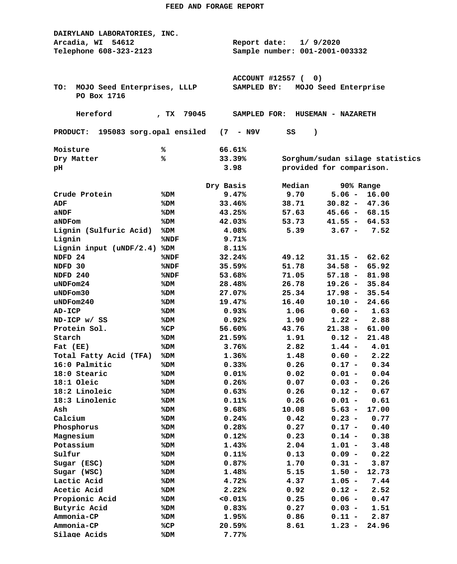| DAIRYLAND LABORATORIES, INC.                |               |                                     |                                |                                 |  |  |  |
|---------------------------------------------|---------------|-------------------------------------|--------------------------------|---------------------------------|--|--|--|
| Arcadia, WI 54612                           |               | 1/9/2020<br>Report date:            |                                |                                 |  |  |  |
| Telephone 608-323-2123                      |               |                                     | Sample number: 001-2001-003332 |                                 |  |  |  |
|                                             |               |                                     |                                |                                 |  |  |  |
|                                             |               |                                     |                                |                                 |  |  |  |
|                                             |               | <b>ACCOUNT #12557 (</b><br>0)       |                                |                                 |  |  |  |
| MOJO Seed Enterprises, LLLP<br>TO:          |               | MOJO Seed Enterprise<br>SAMPLED BY: |                                |                                 |  |  |  |
| PO Box 1716                                 |               |                                     |                                |                                 |  |  |  |
|                                             |               |                                     |                                |                                 |  |  |  |
| Hereford                                    | 79045<br>, TX | SAMPLED FOR:                        |                                | <b>HUSEMAN - NAZARETH</b>       |  |  |  |
|                                             |               |                                     |                                |                                 |  |  |  |
| 195083 sorg.opal ensiled<br><b>PRODUCT:</b> |               | $(7 - N9V$                          | SS<br>$\lambda$                |                                 |  |  |  |
| Moisture                                    | ℁             | 66.61%                              |                                |                                 |  |  |  |
| Dry Matter                                  | %             | 33.39%                              |                                | Sorghum/sudan silage statistics |  |  |  |
| pН                                          |               | 3.98                                |                                | provided for comparison.        |  |  |  |
|                                             |               |                                     |                                |                                 |  |  |  |
|                                             |               | Dry Basis                           | Median                         | 90% Range                       |  |  |  |
| Crude Protein                               | %DM           | 9.47%                               | 9.70                           | $5.06 -$<br>16.00               |  |  |  |
| ADF                                         | %DM           | 33.46%                              | 38.71                          | $30.82 -$<br>47.36              |  |  |  |
| aNDF                                        | %DM           | 43.25%                              | 57.63                          | $45.66 - 68.15$                 |  |  |  |
| aNDFom                                      | %DM           | 42.03%                              | 53.73                          | $41.55 - 64.53$                 |  |  |  |
| Lignin (Sulfuric Acid)                      | %DM           | 4.08%                               | 5.39                           | $3.67 -$<br>7.52                |  |  |  |
| Lignin                                      | %NDF          | 9.71%                               |                                |                                 |  |  |  |
| Lignin input (uNDF/2.4)                     | %DM           | 8.11%                               |                                |                                 |  |  |  |
| NDFD 24                                     | %NDF          | 32.24%                              | 49.12                          | $31.15 -$<br>62.62              |  |  |  |
| NDFD 30                                     | %NDF          | 35.59%                              | 51.78                          | $34.58 -$<br>65.92              |  |  |  |
| NDFD 240                                    | %NDF          | 53.68%                              | 71.05                          | $57.18 -$<br>81.98              |  |  |  |
| uNDFom24                                    | %DM           | 28.48%                              | 26.78                          | $19.26 -$<br>35.84              |  |  |  |
| uNDFom30                                    | %DM           | 27.07%                              | 25.34                          | 17.98 -<br>35.54                |  |  |  |
| $u$ NDF $om240$                             | %DM           | 19.47%                              | 16.40                          | $10.10 -$<br>24.66              |  |  |  |
| AD-ICP                                      | %DM           | 0.93%                               | 1.06                           | $0.60 -$<br>1.63                |  |  |  |
| ND-ICP w/ SS                                | %DM           | 0.92%                               | 1.90                           | 2.88<br>$1.22 -$                |  |  |  |
| Protein Sol.                                | %CP           | 56.60%                              | 43.76                          | $21.38 -$<br>61.00              |  |  |  |
| Starch                                      | %DM           | 21.59%                              | 1.91                           | $0.12 -$<br>21.48               |  |  |  |
| Fat (EE)                                    | %DM           | 3.76%                               | 2.82                           | $1.44 -$<br>4.01                |  |  |  |
| Total Fatty Acid (TFA)                      | %DM           | 1.36%                               | 1.48                           | 2.22<br>$0.60 -$                |  |  |  |
| 16:0 Palmitic                               | %DM           | 0.33%                               | 0.26                           | $0.17 - 0.34$                   |  |  |  |
| 18:0 Stearic                                |               | 0.01%                               | 0.02                           | $0.01 -$<br>0.04                |  |  |  |
| 18:1 Oleic                                  | %DM<br>%DM    | 0.26%                               | 0.07                           | $0.03 -$<br>0.26                |  |  |  |
| 18:2 Linoleic                               | %DM           | 0.63%                               | 0.26                           | $0.12 -$<br>0.67                |  |  |  |
| 18:3 Linolenic                              | %DM           | 0.11%                               | 0.26                           | $0.01 -$<br>0.61                |  |  |  |
| Ash                                         | %DM           | 9.68%                               | 10.08                          | $5.63 -$<br>17.00               |  |  |  |
| Calcium                                     | %DM           | 0.24%                               | 0.42                           | $0.23 -$<br>0.77                |  |  |  |
|                                             |               |                                     |                                |                                 |  |  |  |
| Phosphorus                                  | %DM           | 0.28%                               | 0.27                           | $0.17 -$<br>0.40                |  |  |  |
| Magnesium                                   | %DM           | 0.12%                               | 0.23                           | $0.14 -$<br>0.38                |  |  |  |
| Potassium                                   | %DM           | 1.43%                               | 2.04                           | $1.01 -$<br>3.48                |  |  |  |
| Sulfur                                      | %DM           | 0.11%                               | 0.13                           | $0.09 -$<br>0.22                |  |  |  |
| Sugar (ESC)                                 | %DM           | 0.87%                               | 1.70                           | $0.31 -$<br>3.87                |  |  |  |
| Sugar (WSC)                                 | %DM           | 1.48%                               | 5.15                           | $1.50 -$<br>12.73               |  |  |  |
| Lactic Acid                                 | %DM           | 4.72%                               | 4.37                           | $1.05 -$<br>7.44                |  |  |  |
| Acetic Acid                                 | %DM           | 2.22%                               | 0.92                           | $0.12 -$<br>2.52                |  |  |  |
| Propionic Acid                              | %DM           | 0.01%                               | 0.25                           | $0.06 -$<br>0.47                |  |  |  |
| Butyric Acid                                | %DM           | 0.83%                               | 0.27                           | $0.03 -$<br>1.51                |  |  |  |
| Ammonia-CP                                  | %DM           | 1.95%                               | 0.86                           | $0.11 -$<br>2.87                |  |  |  |
| Ammonia-CP                                  | %CP           | 20.59%                              | 8.61                           | $1.23 -$<br>24.96               |  |  |  |
| Silage Acids                                | %DM           | 7.77%                               |                                |                                 |  |  |  |